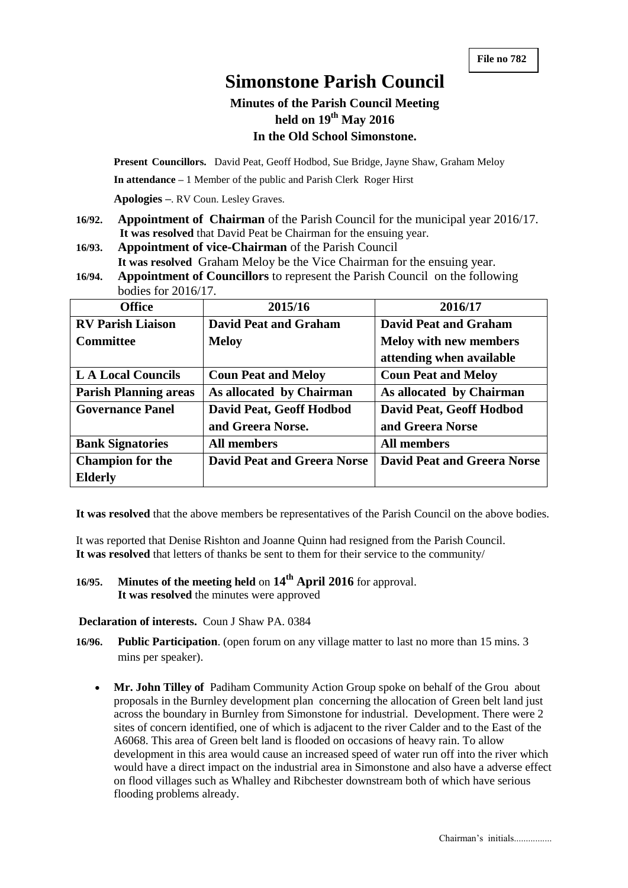# **Simonstone Parish Council**

# **Minutes of the Parish Council Meeting held on 19 th May 2016 In the Old School Simonstone.**

**Present Councillors.** David Peat, Geoff Hodbod, Sue Bridge, Jayne Shaw, Graham Meloy

**In attendance –** 1 Member of the public and Parish Clerk Roger Hirst

**Apologies –**. RV Coun. Lesley Graves.

- **16/92. Appointment of Chairman** of the Parish Council for the municipal year 2016/17.  **It was resolved** that David Peat be Chairman for the ensuing year.
- **16/93. Appointment of vice-Chairman** of the Parish Council **It was resolved** Graham Meloy be the Vice Chairman for the ensuing year.
- **16/94. Appointment of Councillors** to represent the Parish Council on the following bodies for 2016/17.

| <b>Office</b>                | 2015/16                            | 2016/17                            |  |
|------------------------------|------------------------------------|------------------------------------|--|
| <b>RV Parish Liaison</b>     | <b>David Peat and Graham</b>       | <b>David Peat and Graham</b>       |  |
| <b>Committee</b>             | <b>Meloy</b>                       | <b>Meloy with new members</b>      |  |
|                              |                                    | attending when available           |  |
| <b>LA Local Councils</b>     | <b>Coun Peat and Meloy</b>         | <b>Coun Peat and Meloy</b>         |  |
| <b>Parish Planning areas</b> | As allocated by Chairman           | As allocated by Chairman           |  |
| <b>Governance Panel</b>      | David Peat, Geoff Hodbod           | David Peat, Geoff Hodbod           |  |
|                              | and Greera Norse.                  | and Greera Norse                   |  |
| <b>Bank Signatories</b>      | <b>All members</b>                 | <b>All members</b>                 |  |
| <b>Champion for the</b>      | <b>David Peat and Greera Norse</b> | <b>David Peat and Greera Norse</b> |  |
| <b>Elderly</b>               |                                    |                                    |  |

**It was resolved** that the above members be representatives of the Parish Council on the above bodies.

It was reported that Denise Rishton and Joanne Quinn had resigned from the Parish Council. **It was resolved** that letters of thanks be sent to them for their service to the community/

**16/95. Minutes of the meeting held** on **14th April 2016** for approval. **It was resolved** the minutes were approved

#### **Declaration of interests.** Coun J Shaw PA. 0384

- **16/96. Public Participation**. (open forum on any village matter to last no more than 15 mins. 3 mins per speaker).
	- **Mr. John Tilley of** Padiham Community Action Group spoke on behalf of the Grou about proposals in the Burnley development plan concerning the allocation of Green belt land just across the boundary in Burnley from Simonstone for industrial. Development. There were 2 sites of concern identified, one of which is adjacent to the river Calder and to the East of the A6068. This area of Green belt land is flooded on occasions of heavy rain. To allow development in this area would cause an increased speed of water run off into the river which would have a direct impact on the industrial area in Simonstone and also have a adverse effect on flood villages such as Whalley and Ribchester downstream both of which have serious flooding problems already.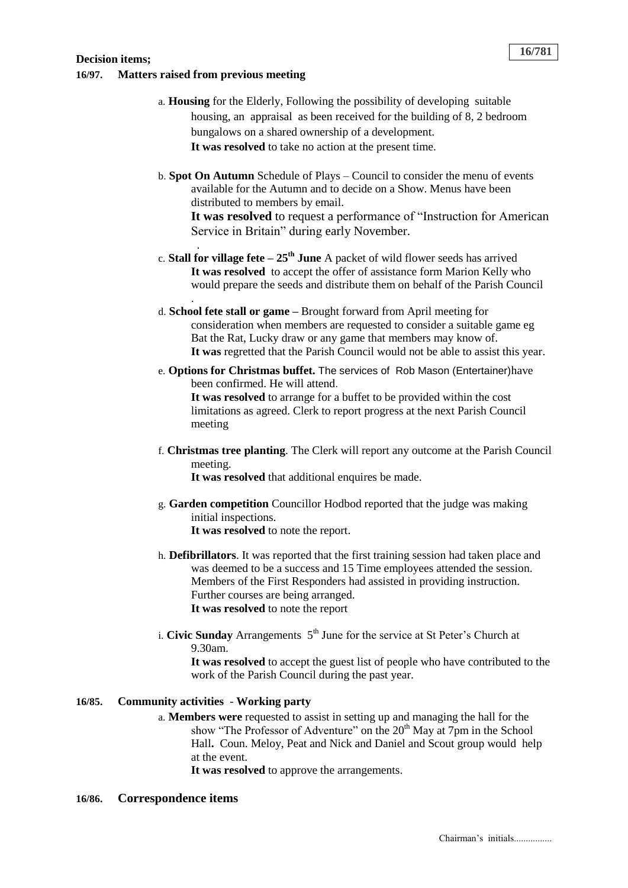#### **Decision items; 16/97. Matters raised from previous meeting**

.

.

- a. **Housing** for the Elderly, Following the possibility of developing suitable housing, an appraisal as been received for the building of 8, 2 bedroom bungalows on a shared ownership of a development. **It was resolved** to take no action at the present time.
- b. **Spot On Autumn** Schedule of Plays Council to consider the menu of events available for the Autumn and to decide on a Show. Menus have been distributed to members by email.

**It was resolved** to request a performance of "Instruction for American Service in Britain" during early November.

- c. **Stall for village fete – 25th June** A packet of wild flower seeds has arrived **It was resolved** to accept the offer of assistance form Marion Kelly who would prepare the seeds and distribute them on behalf of the Parish Council
- d. **School fete stall or game –** Brought forward from April meeting for consideration when members are requested to consider a suitable game eg Bat the Rat, Lucky draw or any game that members may know of. **It was** regretted that the Parish Council would not be able to assist this year.
- e. **Options for Christmas buffet.** The services of Rob Mason (Entertainer)have been confirmed. He will attend. **It was resolved** to arrange for a buffet to be provided within the cost limitations as agreed. Clerk to report progress at the next Parish Council meeting
- f. **Christmas tree planting**. The Clerk will report any outcome at the Parish Council meeting.

It was resolved that additional enquires be made.

- g. **Garden competition** Councillor Hodbod reported that the judge was making initial inspections. **It was resolved** to note the report.
- h. **Defibrillators**. It was reported that the first training session had taken place and was deemed to be a success and 15 Time employees attended the session. Members of the First Responders had assisted in providing instruction. Further courses are being arranged. **It was resolved** to note the report
- i. **Civic Sunday** Arrangements 5<sup>th</sup> June for the service at St Peter's Church at 9.30am.

**It was resolved** to accept the guest list of people who have contributed to the work of the Parish Council during the past year.

## **16/85. Community activities** - **Working party**

a. **Members were** requested to assist in setting up and managing the hall for the show "The Professor of Adventure" on the 20<sup>th</sup> May at 7pm in the School Hall**.** Coun. Meloy, Peat and Nick and Daniel and Scout group would help at the event.

**It was resolved** to approve the arrangements.

#### **16/86. Correspondence items**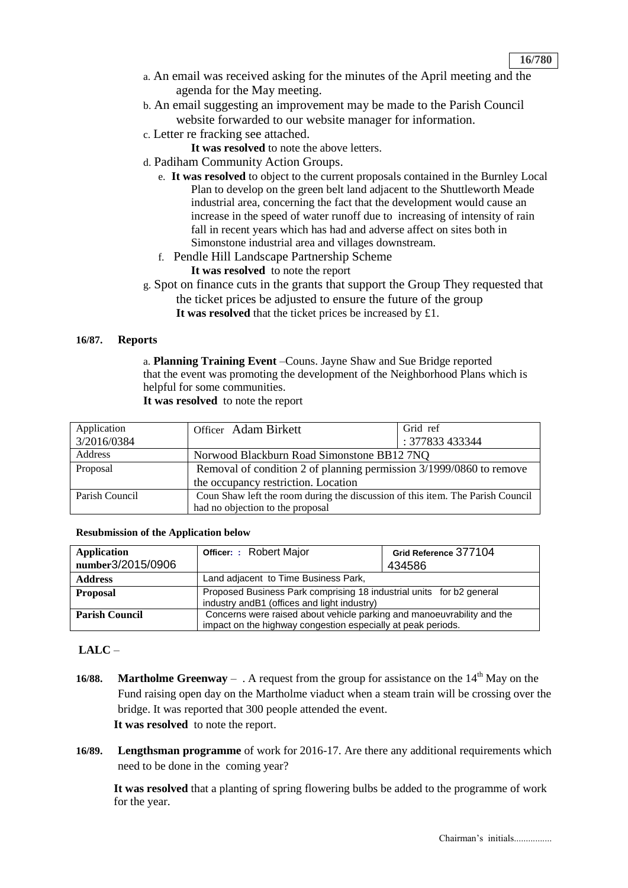- a. An email was received asking for the minutes of the April meeting and the agenda for the May meeting.
- b. An email suggesting an improvement may be made to the Parish Council website forwarded to our website manager for information.
- c. Letter re fracking see attached.
	- **It was resolved** to note the above letters.
- d. Padiham Community Action Groups.
	- e. **It was resolved** to object to the current proposals contained in the Burnley Local Plan to develop on the green belt land adjacent to the Shuttleworth Meade industrial area, concerning the fact that the development would cause an increase in the speed of water runoff due to increasing of intensity of rain fall in recent years which has had and adverse affect on sites both in Simonstone industrial area and villages downstream.
	- f. Pendle Hill Landscape Partnership Scheme **It was resolved** to note the report
- g. Spot on finance cuts in the grants that support the Group They requested that the ticket prices be adjusted to ensure the future of the group **It was resolved** that the ticket prices be increased by £1.

#### **16/87. Reports**

a. **Planning Training Event** –Couns. Jayne Shaw and Sue Bridge reported that the event was promoting the development of the Neighborhood Plans which is helpful for some communities. **It was resolved** to note the report

| Application<br>3/2016/0384 | Officer Adam Birkett                                                           | Grid ref<br>: 377833 433344 |
|----------------------------|--------------------------------------------------------------------------------|-----------------------------|
| Address                    | Norwood Blackburn Road Simonstone BB12 7NQ                                     |                             |
| Proposal                   | Removal of condition 2 of planning permission 3/1999/0860 to remove            |                             |
|                            | the occupancy restriction. Location                                            |                             |
| Parish Council             | Coun Shaw left the room during the discussion of this item. The Parish Council |                             |
|                            | had no objection to the proposal                                               |                             |

#### **Resubmission of the Application below**

| Application<br>number3/2015/0906 | <b>Officer: : Robert Major</b>                                                                                                         | Grid Reference 377104<br>434586 |  |
|----------------------------------|----------------------------------------------------------------------------------------------------------------------------------------|---------------------------------|--|
| <b>Address</b>                   | Land adjacent to Time Business Park,                                                                                                   |                                 |  |
| <b>Proposal</b>                  | Proposed Business Park comprising 18 industrial units for b2 general<br>industry and B1 (offices and light industry)                   |                                 |  |
| <b>Parish Council</b>            | Concerns were raised about vehicle parking and manoeuvrability and the<br>impact on the highway congestion especially at peak periods. |                                 |  |

#### **LALC** –

- **16/88. Martholme Greenway** . A request from the group for assistance on the  $14<sup>th</sup>$  May on the Fund raising open day on the Martholme viaduct when a steam train will be crossing over the bridge. It was reported that 300 people attended the event. **It was resolved** to note the report.
- **16/89. Lengthsman programme** of work for 2016-17. Are there any additional requirements which need to be done in the coming year?

**It was resolved** that a planting of spring flowering bulbs be added to the programme of work for the year.